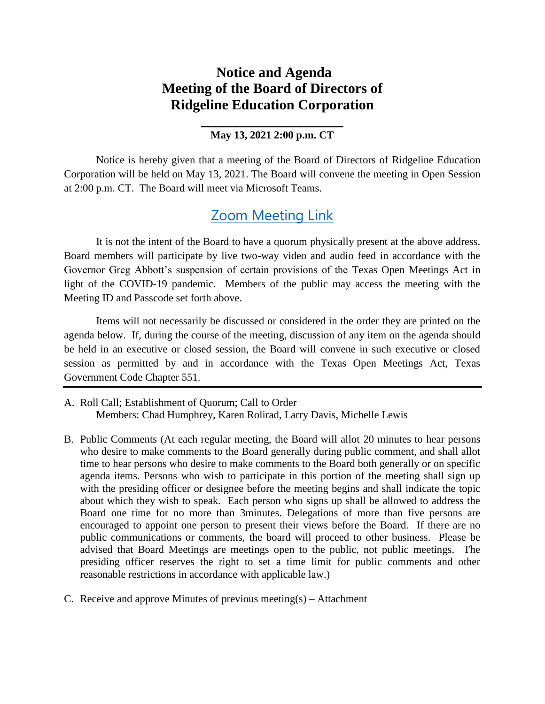## **Notice and Agenda Meeting of the Board of Directors of Ridgeline Education Corporation**

## **\_\_\_\_\_\_\_\_\_\_\_\_\_\_\_\_\_\_\_\_ May 13, 2021 2:00 p.m. CT**

Notice is hereby given that a meeting of the Board of Directors of Ridgeline Education Corporation will be held on May 13, 2021. The Board will convene the meeting in Open Session at 2:00 p.m. CT. The Board will meet via Microsoft Teams.

## [Zoom Meeting Link](https://zoom.us/j/93837893715?pwd=RGJieWlFMHE5YU84T3IzQVo4QlhjZz09)

It is not the intent of the Board to have a quorum physically present at the above address. Board members will participate by live two-way video and audio feed in accordance with the Governor Greg Abbott's suspension of certain provisions of the Texas Open Meetings Act in light of the COVID-19 pandemic. Members of the public may access the meeting with the Meeting ID and Passcode set forth above.

Items will not necessarily be discussed or considered in the order they are printed on the agenda below. If, during the course of the meeting, discussion of any item on the agenda should be held in an executive or closed session, the Board will convene in such executive or closed session as permitted by and in accordance with the Texas Open Meetings Act, Texas Government Code Chapter 551.

- A. Roll Call; Establishment of Quorum; Call to Order Members: Chad Humphrey, Karen Rolirad, Larry Davis, Michelle Lewis
- B. Public Comments (At each regular meeting, the Board will allot 20 minutes to hear persons who desire to make comments to the Board generally during public comment, and shall allot time to hear persons who desire to make comments to the Board both generally or on specific agenda items. Persons who wish to participate in this portion of the meeting shall sign up with the presiding officer or designee before the meeting begins and shall indicate the topic about which they wish to speak. Each person who signs up shall be allowed to address the Board one time for no more than 3minutes. Delegations of more than five persons are encouraged to appoint one person to present their views before the Board. If there are no public communications or comments, the board will proceed to other business. Please be advised that Board Meetings are meetings open to the public, not public meetings. The presiding officer reserves the right to set a time limit for public comments and other reasonable restrictions in accordance with applicable law.)
- C. Receive and approve Minutes of previous meeting(s) Attachment